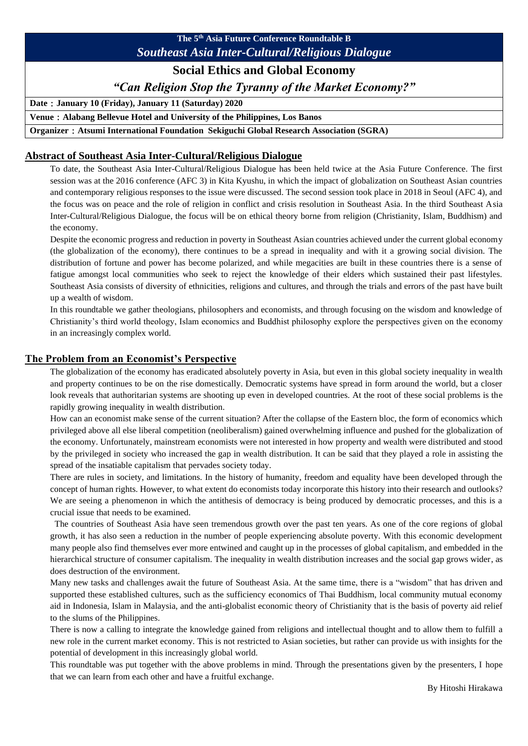# **The 5th Asia Future Conference Roundtable B** *Southeast Asia Inter-Cultural/Religious Dialogue*

# **Social Ethics and Global Economy**

*"Can Religion Stop the Tyranny of the Market Economy?"*

**Date**:**January 10 (Friday), January 11 (Saturday) 2020**

**Venue**:**Alabang Bellevue Hotel and University of the Philippines, Los Banos**

**Organizer**:**Atsumi International Foundation Sekiguchi Global Research Association (SGRA)**

## **Abstract of Southeast Asia Inter-Cultural/Religious Dialogue**

To date, the Southeast Asia Inter-Cultural/Religious Dialogue has been held twice at the Asia Future Conference. The first session was at the 2016 conference (AFC 3) in Kita Kyushu, in which the impact of globalization on Southeast Asian countries and contemporary religious responses to the issue were discussed. The second session took place in 2018 in Seoul (AFC 4), and the focus was on peace and the role of religion in conflict and crisis resolution in Southeast Asia. In the third Southeast Asia Inter-Cultural/Religious Dialogue, the focus will be on ethical theory borne from religion (Christianity, Islam, Buddhism) and the economy.

Despite the economic progress and reduction in poverty in Southeast Asian countries achieved under the current global economy (the globalization of the economy), there continues to be a spread in inequality and with it a growing social division. The distribution of fortune and power has become polarized, and while megacities are built in these countries there is a sense of fatigue amongst local communities who seek to reject the knowledge of their elders which sustained their past lifestyles. Southeast Asia consists of diversity of ethnicities, religions and cultures, and through the trials and errors of the past have built up a wealth of wisdom.

In this roundtable we gather theologians, philosophers and economists, and through focusing on the wisdom and knowledge of Christianity's third world theology, Islam economics and Buddhist philosophy explore the perspectives given on the economy in an increasingly complex world.

## **The Problem from an Economist's Perspective**

The globalization of the economy has eradicated absolutely poverty in Asia, but even in this global society inequality in wealth and property continues to be on the rise domestically. Democratic systems have spread in form around the world, but a closer look reveals that authoritarian systems are shooting up even in developed countries. At the root of these social problems is the rapidly growing inequality in wealth distribution.

How can an economist make sense of the current situation? After the collapse of the Eastern bloc, the form of economics which privileged above all else liberal competition (neoliberalism) gained overwhelming influence and pushed for the globalization of the economy. Unfortunately, mainstream economists were not interested in how property and wealth were distributed and stood by the privileged in society who increased the gap in wealth distribution. It can be said that they played a role in assisting the spread of the insatiable capitalism that pervades society today.

There are rules in society, and limitations. In the history of humanity, freedom and equality have been developed through the concept of human rights. However, to what extent do economists today incorporate this history into their research and outlooks? We are seeing a phenomenon in which the antithesis of democracy is being produced by democratic processes, and this is a crucial issue that needs to be examined.

 The countries of Southeast Asia have seen tremendous growth over the past ten years. As one of the core regions of global growth, it has also seen a reduction in the number of people experiencing absolute poverty. With this economic development many people also find themselves ever more entwined and caught up in the processes of global capitalism, and embedded in the hierarchical structure of consumer capitalism. The inequality in wealth distribution increases and the social gap grows wider, as does destruction of the environment.

Many new tasks and challenges await the future of Southeast Asia. At the same time, there is a "wisdom" that has driven and supported these established cultures, such as the sufficiency economics of Thai Buddhism, local community mutual economy aid in Indonesia, Islam in Malaysia, and the anti-globalist economic theory of Christianity that is the basis of poverty aid relief to the slums of the Philippines.

There is now a calling to integrate the knowledge gained from religions and intellectual thought and to allow them to fulfill a new role in the current market economy. This is not restricted to Asian societies, but rather can provide us with insights for the potential of development in this increasingly global world.

This roundtable was put together with the above problems in mind. Through the presentations given by the presenters, I hope that we can learn from each other and have a fruitful exchange.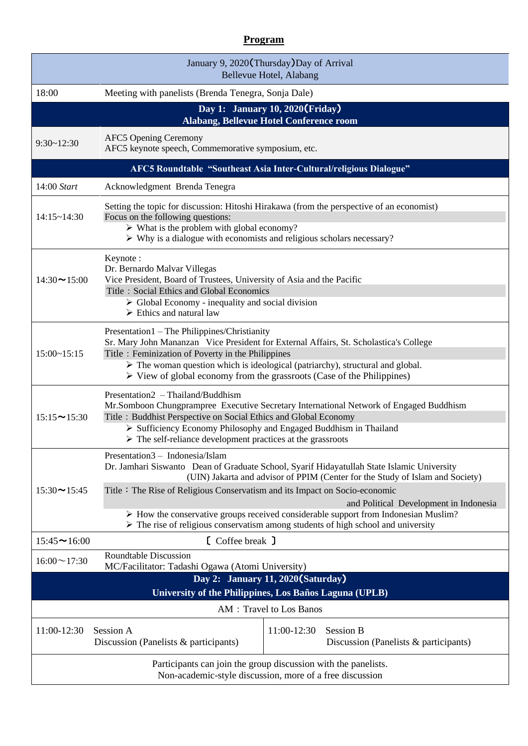## **Program**

| January 9, 2020(Thursday) Day of Arrival<br>Bellevue Hotel, Alabang                                                        |                                                                                                                                                                                                                                                                                                                                                                                                                                                                                                                                                  |                                                                          |
|----------------------------------------------------------------------------------------------------------------------------|--------------------------------------------------------------------------------------------------------------------------------------------------------------------------------------------------------------------------------------------------------------------------------------------------------------------------------------------------------------------------------------------------------------------------------------------------------------------------------------------------------------------------------------------------|--------------------------------------------------------------------------|
| 18:00                                                                                                                      | Meeting with panelists (Brenda Tenegra, Sonja Dale)                                                                                                                                                                                                                                                                                                                                                                                                                                                                                              |                                                                          |
| Day 1: January 10, 2020 (Friday)<br>Alabang, Bellevue Hotel Conference room                                                |                                                                                                                                                                                                                                                                                                                                                                                                                                                                                                                                                  |                                                                          |
| $9:30 - 12:30$                                                                                                             | <b>AFC5 Opening Ceremony</b><br>AFC5 keynote speech, Commemorative symposium, etc.                                                                                                                                                                                                                                                                                                                                                                                                                                                               |                                                                          |
| AFC5 Roundtable "Southeast Asia Inter-Cultural/religious Dialogue"                                                         |                                                                                                                                                                                                                                                                                                                                                                                                                                                                                                                                                  |                                                                          |
| 14:00 Start                                                                                                                | Acknowledgment Brenda Tenegra                                                                                                                                                                                                                                                                                                                                                                                                                                                                                                                    |                                                                          |
| 14:15~14:30                                                                                                                | Setting the topic for discussion: Hitoshi Hirakawa (from the perspective of an economist)<br>Focus on the following questions:<br>$\triangleright$ What is the problem with global economy?<br>$\triangleright$ Why is a dialogue with economists and religious scholars necessary?                                                                                                                                                                                                                                                              |                                                                          |
| $14:30 \rightarrow 15:00$                                                                                                  | Keynote:<br>Dr. Bernardo Malvar Villegas<br>Vice President, Board of Trustees, University of Asia and the Pacific<br>Title: Social Ethics and Global Economics<br>$\triangleright$ Global Economy - inequality and social division<br>$\triangleright$ Ethics and natural law                                                                                                                                                                                                                                                                    |                                                                          |
| $15:00 \times 15:15$                                                                                                       | Presentation 1 – The Philippines/Christianity<br>Sr. Mary John Mananzan Vice President for External Affairs, St. Scholastica's College<br>Title: Feminization of Poverty in the Philippines<br>$\triangleright$ The woman question which is ideological (patriarchy), structural and global.<br>$\triangleright$ View of global economy from the grassroots (Case of the Philippines)                                                                                                                                                            |                                                                          |
| $15:15 \rightarrow 15:30$                                                                                                  | Presentation2 - Thailand/Buddhism<br>Mr.Somboon Chungprampree Executive Secretary International Network of Engaged Buddhism<br>Title: Buddhist Perspective on Social Ethics and Global Economy<br>Sufficiency Economy Philosophy and Engaged Buddhism in Thailand<br>$\triangleright$ The self-reliance development practices at the grassroots                                                                                                                                                                                                  |                                                                          |
| $15:30 \rightarrow 15:45$                                                                                                  | Presentation3 - Indonesia/Islam<br>Dr. Jamhari Siswanto Dean of Graduate School, Syarif Hidayatullah State Islamic University<br>(UIN) Jakarta and advisor of PPIM (Center for the Study of Islam and Society)<br>Title: The Rise of Religious Conservatism and its Impact on Socio-economic<br>and Political Development in Indonesia<br>$\triangleright$ How the conservative groups received considerable support from Indonesian Muslim?<br>$\triangleright$ The rise of religious conservatism among students of high school and university |                                                                          |
| $15:45 \rightarrow 16:00$                                                                                                  | [ Coffee break ]                                                                                                                                                                                                                                                                                                                                                                                                                                                                                                                                 |                                                                          |
| $16:00 \sim 17:30$                                                                                                         | <b>Roundtable Discussion</b><br>MC/Facilitator: Tadashi Ogawa (Atomi University)                                                                                                                                                                                                                                                                                                                                                                                                                                                                 |                                                                          |
| Day 2: January 11, 2020 (Saturday)                                                                                         |                                                                                                                                                                                                                                                                                                                                                                                                                                                                                                                                                  |                                                                          |
| University of the Philippines, Los Baños Laguna (UPLB)<br>AM : Travel to Los Banos                                         |                                                                                                                                                                                                                                                                                                                                                                                                                                                                                                                                                  |                                                                          |
| 11:00-12:30                                                                                                                | Session A<br>Discussion (Panelists & participants)                                                                                                                                                                                                                                                                                                                                                                                                                                                                                               | 11:00-12:30<br><b>Session B</b><br>Discussion (Panelists & participants) |
| Participants can join the group discussion with the panelists.<br>Non-academic-style discussion, more of a free discussion |                                                                                                                                                                                                                                                                                                                                                                                                                                                                                                                                                  |                                                                          |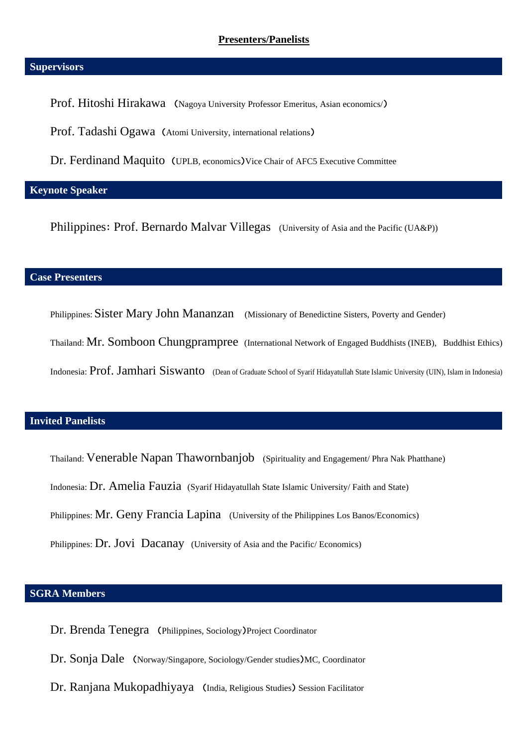#### **Presenters/Panelists**

#### **Supervisors**

Prof. Hitoshi Hirakawa (Nagoya University Professor Emeritus, Asian economics/)

Prof. Tadashi Ogawa (Atomi University, international relations)

Dr. Ferdinand Maquito (UPLB, economics)Vice Chair of AFC5 Executive Committee

## **Keynote Speaker**

Philippines: Prof. Bernardo Malvar Villegas (University of Asia and the Pacific (UA&P))

## **Case Presenters**

Philippines: Sister Mary John Mananzan (Missionary of Benedictine Sisters, Poverty and Gender)

Thailand: Mr. Somboon Chungprampree (International Network of Engaged Buddhists (INEB), Buddhist Ethics)

Indonesia: Prof. Jamhari Siswanto (Dean of Graduate School of Syarif Hidayatullah State Islamic University (UIN), Islam in Indonesia)

## **Invited Panelists**

Thailand: Venerable Napan Thawornbanjob (Spirituality and Engagement/ Phra Nak Phatthane)

Indonesia: Dr. Amelia Fauzia (Syarif Hidayatullah State Islamic University/ Faith and State)

Philippines: Mr. Geny Francia Lapina (University of the Philippines Los Banos/Economics)

Philippines: Dr. Jovi Dacanay (University of Asia and the Pacific/ Economics)

## **SGRA Members**

Dr. Brenda Tenegra (Philippines, Sociology)Project Coordinator

- Dr. Sonja Dale (Norway/Singapore, Sociology/Gender studies)MC, Coordinator
- Dr. Ranjana Mukopadhiyaya (India, Religious Studies) Session Facilitator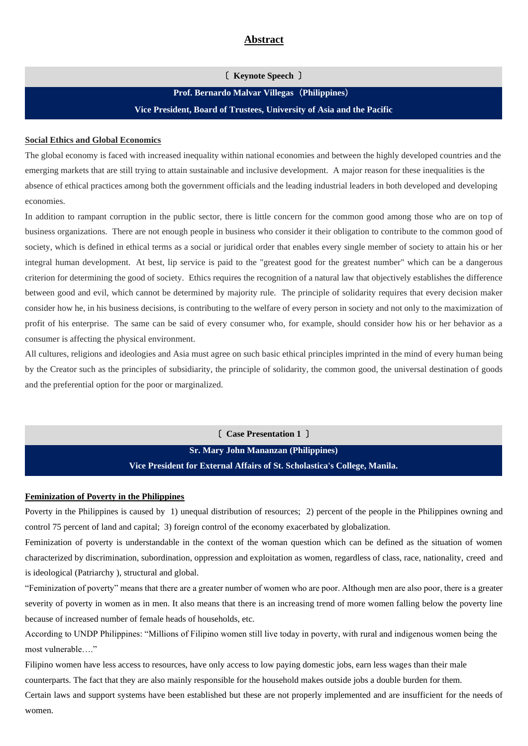#### **Abstract**

〔 **Keynote Speech** 〕

**Prof. Bernardo Malvar Villegas**(**Philippines**) **Vice President, Board of Trustees, University of Asia and the Pacific**

#### **Social Ethics and Global Economics**

The global economy is faced with increased inequality within national economies and between the highly developed countries and the emerging markets that are still trying to attain sustainable and inclusive development. A major reason for these inequalities is the absence of ethical practices among both the government officials and the leading industrial leaders in both developed and developing economies.

In addition to rampant corruption in the public sector, there is little concern for the common good among those who are on top of business organizations. There are not enough people in business who consider it their obligation to contribute to the common good of society, which is defined in ethical terms as a social or juridical order that enables every single member of society to attain his or her integral human development. At best, lip service is paid to the "greatest good for the greatest number" which can be a dangerous criterion for determining the good of society. Ethics requires the recognition of a natural law that objectively establishes the difference between good and evil, which cannot be determined by majority rule. The principle of solidarity requires that every decision maker consider how he, in his business decisions, is contributing to the welfare of every person in society and not only to the maximization of profit of his enterprise. The same can be said of every consumer who, for example, should consider how his or her behavior as a consumer is affecting the physical environment.

All cultures, religions and ideologies and Asia must agree on such basic ethical principles imprinted in the mind of every human being by the Creator such as the principles of subsidiarity, the principle of solidarity, the common good, the universal destination of goods and the preferential option for the poor or marginalized.

> 〔 **Case Presentation 1** 〕 **Sr. Mary John Mananzan (Philippines) Vice President for External Affairs of St. Scholastica's College, Manila.**

#### **Feminization of Poverty in the Philippines**

Poverty in the Philippines is caused by 1) unequal distribution of resources; 2) percent of the people in the Philippines owning and control 75 percent of land and capital; 3) foreign control of the economy exacerbated by globalization.

Feminization of poverty is understandable in the context of the woman question which can be defined as the situation of women characterized by discrimination, subordination, oppression and exploitation as women, regardless of class, race, nationality, creed and is ideological (Patriarchy ), structural and global.

"Feminization of poverty" means that there are a greater number of women who are poor. Although men are also poor, there is a greater severity of poverty in women as in men. It also means that there is an increasing trend of more women falling below the poverty line because of increased number of female heads of households, etc.

According to UNDP Philippines: "Millions of Filipino women still live today in poverty, with rural and indigenous women being the most vulnerable…."

Filipino women have less access to resources, have only access to low paying domestic jobs, earn less wages than their male counterparts. The fact that they are also mainly responsible for the household makes outside jobs a double burden for them. Certain laws and support systems have been established but these are not properly implemented and are insufficient for the needs of women.